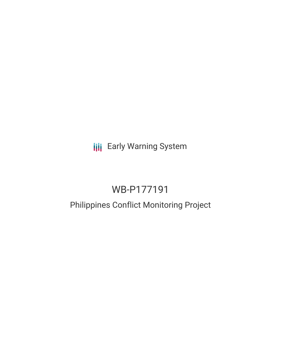**III** Early Warning System

# WB-P177191

# Philippines Conflict Monitoring Project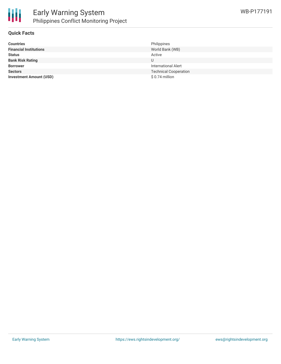

## **Quick Facts**

| <b>Countries</b>               | Philippines                  |
|--------------------------------|------------------------------|
| <b>Financial Institutions</b>  | World Bank (WB)              |
| <b>Status</b>                  | Active                       |
| <b>Bank Risk Rating</b>        | U                            |
| <b>Borrower</b>                | <b>International Alert</b>   |
| <b>Sectors</b>                 | <b>Technical Cooperation</b> |
| <b>Investment Amount (USD)</b> | $$0.74$ million              |
|                                |                              |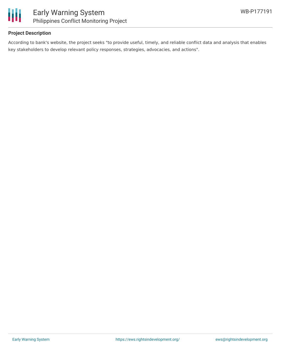

# **Project Description**

According to bank's website, the project seeks "to provide useful, timely, and reliable conflict data and analysis that enables key stakeholders to develop relevant policy responses, strategies, advocacies, and actions".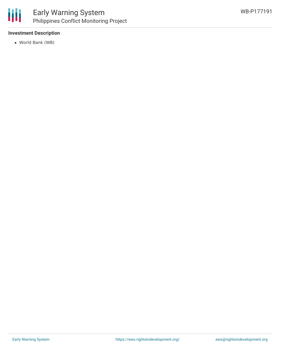# **Investment Description**

World Bank (WB)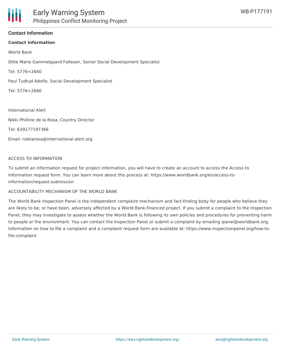### **Contact Information**

#### **Contact Information**

World Bank

Ditte Marie Gammelgaard Fallesen, Senior Social Development Specialist

Tel: 5776+2640

Paul Tudtud Adolfo, Social Development Specialist

Tel: 5776+2660

International Alert

Nikki Philline de la Rosa, Country Director

Tel: 639177197366

Email: ndelarosa@international-alert.org

#### ACCESS TO INFORMATION

To submit an information request for project information, you will have to create an account to access the Access to Information request form. You can learn more about this process at: https://www.worldbank.org/en/access-toinformation/request-submission

#### ACCOUNTABILITY MECHANISM OF THE WORLD BANK

The World Bank Inspection Panel is the independent complaint mechanism and fact-finding body for people who believe they are likely to be, or have been, adversely affected by a World Bank-financed project. If you submit a complaint to the Inspection Panel, they may investigate to assess whether the World Bank is following its own policies and procedures for preventing harm to people or the environment. You can contact the Inspection Panel or submit a complaint by emailing ipanel@worldbank.org. Information on how to file a complaint and a complaint request form are available at: https://www.inspectionpanel.org/how-tofile-complaint